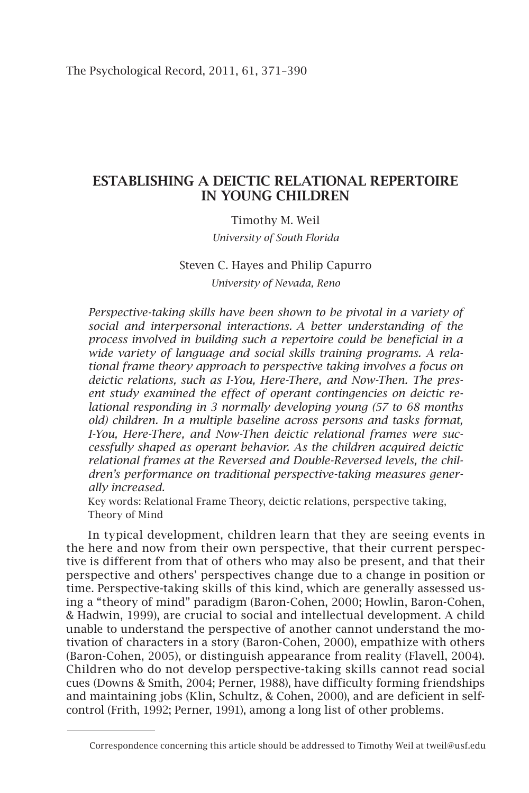# Establishing a Deictic Relational Repertoire in Young Children

# Timothy M. Weil

*University of South Florida*

# Steven C. Hayes and Philip Capurro *University of Nevada, Reno*

*Perspective-taking skills have been shown to be pivotal in a variety of social and interpersonal interactions. A better understanding of the process involved in building such a repertoire could be beneficial in a wide variety of language and social skills training programs. A relational frame theory approach to perspective taking involves a focus on deictic relations, such as I-You, Here-There, and Now-Then. The present study examined the effect of operant contingencies on deictic relational responding in 3 normally developing young (57 to 68 months old) children. In a multiple baseline across persons and tasks format, I-You, Here-There, and Now-Then deictic relational frames were successfully shaped as operant behavior. As the children acquired deictic relational frames at the Reversed and Double-Reversed levels, the children's performance on traditional perspective-taking measures generally increased.*

Key words: Relational Frame Theory, deictic relations, perspective taking, Theory of Mind

In typical development, children learn that they are seeing events in the here and now from their own perspective, that their current perspective is different from that of others who may also be present, and that their perspective and others' perspectives change due to a change in position or time. Perspective-taking skills of this kind, which are generally assessed using a "theory of mind" paradigm (Baron-Cohen, 2000; Howlin, Baron-Cohen, & Hadwin, 1999), are crucial to social and intellectual development. A child unable to understand the perspective of another cannot understand the motivation of characters in a story (Baron-Cohen, 2000), empathize with others (Baron-Cohen, 2005), or distinguish appearance from reality (Flavell, 2004). Children who do not develop perspective-taking skills cannot read social cues (Downs & Smith, 2004; Perner, 1988), have difficulty forming friendships and maintaining jobs (Klin, Schultz, & Cohen, 2000), and are deficient in selfcontrol (Frith, 1992; Perner, 1991), among a long list of other problems.

Correspondence concerning this article should be addressed to Timothy Weil at tweil@usf.edu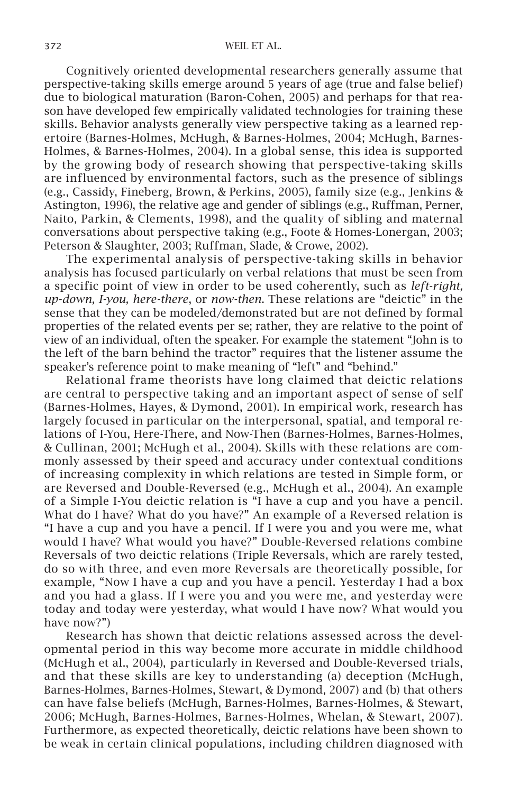Cognitively oriented developmental researchers generally assume that perspective-taking skills emerge around 5 years of age (true and false belief) due to biological maturation (Baron-Cohen, 2005) and perhaps for that reason have developed few empirically validated technologies for training these skills. Behavior analysts generally view perspective taking as a learned repertoire (Barnes-Holmes, McHugh, & Barnes-Holmes, 2004; McHugh, Barnes-Holmes, & Barnes-Holmes, 2004). In a global sense, this idea is supported by the growing body of research showing that perspective-taking skills are influenced by environmental factors, such as the presence of siblings (e.g., Cassidy, Fineberg, Brown, & Perkins, 2005), family size (e.g., Jenkins & Astington, 1996), the relative age and gender of siblings (e.g., Ruffman, Perner, Naito, Parkin, & Clements, 1998), and the quality of sibling and maternal conversations about perspective taking (e.g., Foote & Homes-Lonergan, 2003; Peterson & Slaughter, 2003; Ruffman, Slade, & Crowe, 2002).

The experimental analysis of perspective-taking skills in behavior analysis has focused particularly on verbal relations that must be seen from a specific point of view in order to be used coherently, such as *left-right, up-down, I-you, here-there*, or *now-then*. These relations are "deictic" in the sense that they can be modeled/demonstrated but are not defined by formal properties of the related events per se; rather, they are relative to the point of view of an individual, often the speaker. For example the statement "John is to the left of the barn behind the tractor" requires that the listener assume the speaker's reference point to make meaning of "left" and "behind."

Relational frame theorists have long claimed that deictic relations are central to perspective taking and an important aspect of sense of self (Barnes-Holmes, Hayes, & Dymond, 2001). In empirical work, research has largely focused in particular on the interpersonal, spatial, and temporal relations of I-You, Here-There, and Now-Then (Barnes-Holmes, Barnes-Holmes, & Cullinan, 2001; McHugh et al., 2004). Skills with these relations are commonly assessed by their speed and accuracy under contextual conditions of increasing complexity in which relations are tested in Simple form, or are Reversed and Double-Reversed (e.g., McHugh et al., 2004). An example of a Simple I-You deictic relation is "I have a cup and you have a pencil. What do I have? What do you have?" An example of a Reversed relation is "I have a cup and you have a pencil. If I were you and you were me, what would I have? What would you have?" Double-Reversed relations combine Reversals of two deictic relations (Triple Reversals, which are rarely tested, do so with three, and even more Reversals are theoretically possible, for example, "Now I have a cup and you have a pencil. Yesterday I had a box and you had a glass. If I were you and you were me, and yesterday were today and today were yesterday, what would I have now? What would you have now?")

Research has shown that deictic relations assessed across the developmental period in this way become more accurate in middle childhood (McHugh et al., 2004), particularly in Reversed and Double-Reversed trials, and that these skills are key to understanding (a) deception (McHugh, Barnes-Holmes, Barnes-Holmes, Stewart, & Dymond, 2007) and (b) that others can have false beliefs (McHugh, Barnes-Holmes, Barnes-Holmes, & Stewart, 2006; McHugh, Barnes-Holmes, Barnes-Holmes, Whelan, & Stewart, 2007). Furthermore, as expected theoretically, deictic relations have been shown to be weak in certain clinical populations, including children diagnosed with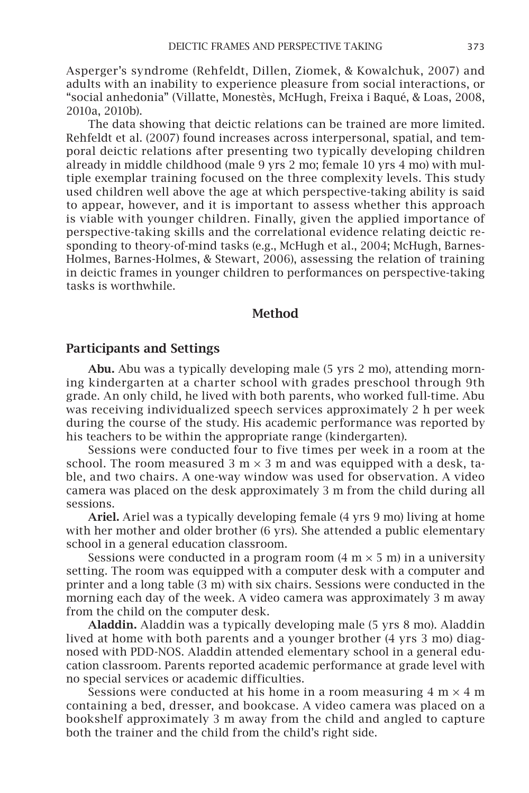Asperger's syndrome (Rehfeldt, Dillen, Ziomek, & Kowalchuk, 2007) and adults with an inability to experience pleasure from social interactions, or "social anhedonia" (Villatte, Monestès, McHugh, Freixa i Baqué, & Loas, 2008, 2010a, 2010b).

The data showing that deictic relations can be trained are more limited. Rehfeldt et al. (2007) found increases across interpersonal, spatial, and temporal deictic relations after presenting two typically developing children already in middle childhood (male 9 yrs 2 mo; female 10 yrs 4 mo) with multiple exemplar training focused on the three complexity levels. This study used children well above the age at which perspective-taking ability is said to appear, however, and it is important to assess whether this approach is viable with younger children. Finally, given the applied importance of perspective-taking skills and the correlational evidence relating deictic responding to theory-of-mind tasks (e.g., McHugh et al., 2004; McHugh, Barnes-Holmes, Barnes-Holmes, & Stewart, 2006), assessing the relation of training in deictic frames in younger children to performances on perspective-taking tasks is worthwhile.

#### Method

#### Participants and Settings

Abu. Abu was a typically developing male (5 yrs 2 mo), attending morning kindergarten at a charter school with grades preschool through 9th grade. An only child, he lived with both parents, who worked full-time. Abu was receiving individualized speech services approximately 2 h per week during the course of the study. His academic performance was reported by his teachers to be within the appropriate range (kindergarten).

Sessions were conducted four to five times per week in a room at the school. The room measured 3 m  $\times$  3 m and was equipped with a desk, table, and two chairs. A one-way window was used for observation. A video camera was placed on the desk approximately 3 m from the child during all sessions.

Ariel. Ariel was a typically developing female (4 yrs 9 mo) living at home with her mother and older brother (6 yrs). She attended a public elementary school in a general education classroom.

Sessions were conducted in a program room  $(4 \text{ m} \times 5 \text{ m})$  in a university setting. The room was equipped with a computer desk with a computer and printer and a long table (3 m) with six chairs. Sessions were conducted in the morning each day of the week. A video camera was approximately 3 m away from the child on the computer desk.

Aladdin. Aladdin was a typically developing male (5 yrs 8 mo). Aladdin lived at home with both parents and a younger brother (4 yrs 3 mo) diagnosed with PDD-NOS. Aladdin attended elementary school in a general education classroom. Parents reported academic performance at grade level with no special services or academic difficulties.

Sessions were conducted at his home in a room measuring  $4 \text{ m} \times 4 \text{ m}$ containing a bed, dresser, and bookcase. A video camera was placed on a bookshelf approximately 3 m away from the child and angled to capture both the trainer and the child from the child's right side.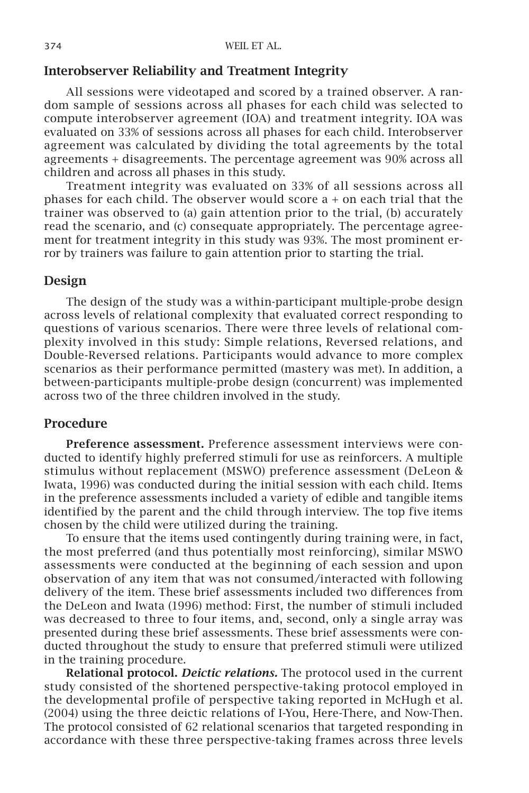#### Interobserver Reliability and Treatment Integrity

All sessions were videotaped and scored by a trained observer. A random sample of sessions across all phases for each child was selected to compute interobserver agreement (IOA) and treatment integrity. IOA was evaluated on 33% of sessions across all phases for each child. Interobserver agreement was calculated by dividing the total agreements by the total agreements + disagreements. The percentage agreement was 90% across all children and across all phases in this study.

Treatment integrity was evaluated on 33% of all sessions across all phases for each child. The observer would score a + on each trial that the trainer was observed to (a) gain attention prior to the trial, (b) accurately read the scenario, and (c) consequate appropriately. The percentage agreement for treatment integrity in this study was 93%. The most prominent error by trainers was failure to gain attention prior to starting the trial.

# Design

The design of the study was a within-participant multiple-probe design across levels of relational complexity that evaluated correct responding to questions of various scenarios. There were three levels of relational complexity involved in this study: Simple relations, Reversed relations, and Double-Reversed relations. Participants would advance to more complex scenarios as their performance permitted (mastery was met). In addition, a between-participants multiple-probe design (concurrent) was implemented across two of the three children involved in the study.

# Procedure

Preference assessment. Preference assessment interviews were conducted to identify highly preferred stimuli for use as reinforcers. A multiple stimulus without replacement (MSWO) preference assessment (DeLeon & Iwata, 1996) was conducted during the initial session with each child. Items in the preference assessments included a variety of edible and tangible items identified by the parent and the child through interview. The top five items chosen by the child were utilized during the training.

To ensure that the items used contingently during training were, in fact, the most preferred (and thus potentially most reinforcing), similar MSWO assessments were conducted at the beginning of each session and upon observation of any item that was not consumed/interacted with following delivery of the item. These brief assessments included two differences from the DeLeon and Iwata (1996) method: First, the number of stimuli included was decreased to three to four items, and, second, only a single array was presented during these brief assessments. These brief assessments were conducted throughout the study to ensure that preferred stimuli were utilized in the training procedure.

Relational protocol. *Deictic relations.* The protocol used in the current study consisted of the shortened perspective-taking protocol employed in the developmental profile of perspective taking reported in McHugh et al. (2004) using the three deictic relations of I-You, Here-There, and Now-Then. The protocol consisted of 62 relational scenarios that targeted responding in accordance with these three perspective-taking frames across three levels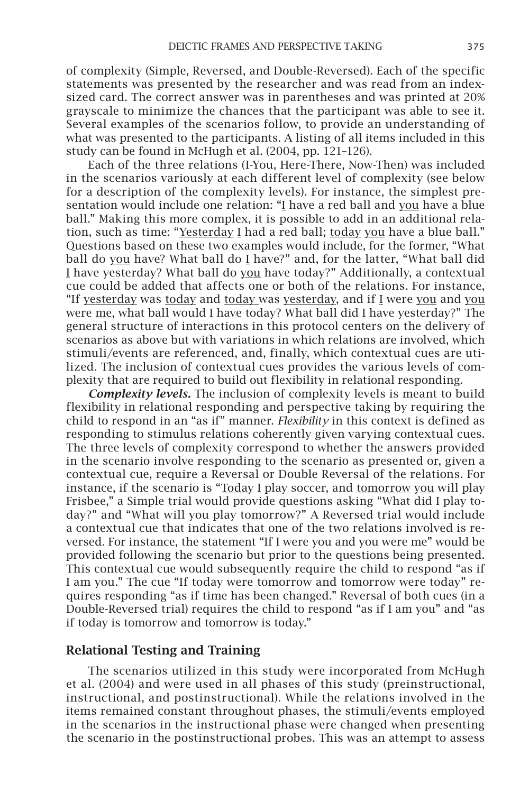of complexity (Simple, Reversed, and Double-Reversed). Each of the specific statements was presented by the researcher and was read from an indexsized card. The correct answer was in parentheses and was printed at 20% grayscale to minimize the chances that the participant was able to see it. Several examples of the scenarios follow, to provide an understanding of what was presented to the participants. A listing of all items included in this study can be found in McHugh et al. (2004, pp. 121–126).

Each of the three relations (I-You, Here-There, Now-Then) was included in the scenarios variously at each different level of complexity (see below for a description of the complexity levels). For instance, the simplest presentation would include one relation: "I have a red ball and you have a blue ball." Making this more complex, it is possible to add in an additional relation, such as time: "Yesterday I had a red ball; today you have a blue ball." Questions based on these two examples would include, for the former, "What ball do you have? What ball do I have?" and, for the latter, "What ball did I have yesterday? What ball do you have today?" Additionally, a contextual cue could be added that affects one or both of the relations. For instance, "If yesterday was today and today was yesterday, and if I were you and you were me, what ball would I have today? What ball did I have yesterday?" The general structure of interactions in this protocol centers on the delivery of scenarios as above but with variations in which relations are involved, which stimuli/events are referenced, and, finally, which contextual cues are utilized. The inclusion of contextual cues provides the various levels of complexity that are required to build out flexibility in relational responding.

*Complexity levels.* The inclusion of complexity levels is meant to build flexibility in relational responding and perspective taking by requiring the child to respond in an "as if" manner. *Flexibility* in this context is defined as responding to stimulus relations coherently given varying contextual cues. The three levels of complexity correspond to whether the answers provided in the scenario involve responding to the scenario as presented or, given a contextual cue, require a Reversal or Double Reversal of the relations. For instance, if the scenario is "Today I play soccer, and tomorrow you will play Frisbee," a Simple trial would provide questions asking "What did I play today?" and "What will you play tomorrow?" A Reversed trial would include a contextual cue that indicates that one of the two relations involved is reversed. For instance, the statement "If I were you and you were me" would be provided following the scenario but prior to the questions being presented. This contextual cue would subsequently require the child to respond "as if I am you." The cue "If today were tomorrow and tomorrow were today" requires responding "as if time has been changed." Reversal of both cues (in a Double-Reversed trial) requires the child to respond "as if I am you" and "as if today is tomorrow and tomorrow is today."

#### Relational Testing and Training

The scenarios utilized in this study were incorporated from McHugh et al. (2004) and were used in all phases of this study (preinstructional, instructional, and postinstructional). While the relations involved in the items remained constant throughout phases, the stimuli/events employed in the scenarios in the instructional phase were changed when presenting the scenario in the postinstructional probes. This was an attempt to assess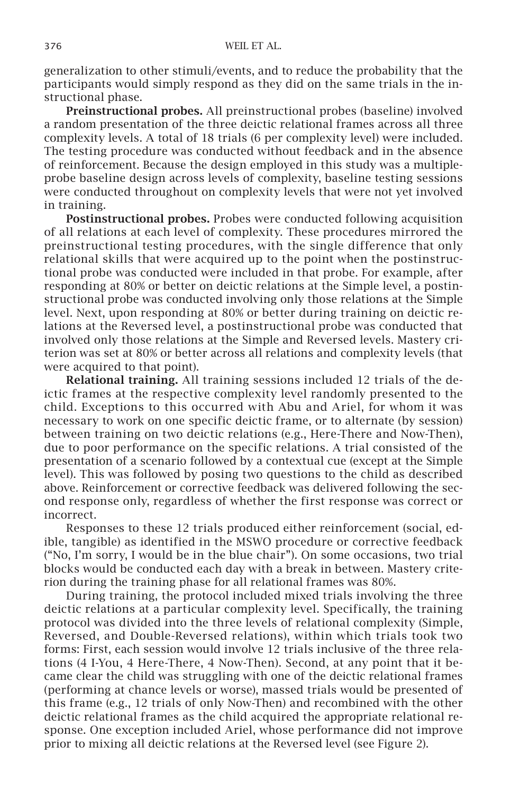generalization to other stimuli/events, and to reduce the probability that the participants would simply respond as they did on the same trials in the instructional phase.

Preinstructional probes. All preinstructional probes (baseline) involved a random presentation of the three deictic relational frames across all three complexity levels. A total of 18 trials (6 per complexity level) were included. The testing procedure was conducted without feedback and in the absence of reinforcement. Because the design employed in this study was a multipleprobe baseline design across levels of complexity, baseline testing sessions were conducted throughout on complexity levels that were not yet involved in training.

Postinstructional probes. Probes were conducted following acquisition of all relations at each level of complexity. These procedures mirrored the preinstructional testing procedures, with the single difference that only relational skills that were acquired up to the point when the postinstructional probe was conducted were included in that probe. For example, after responding at 80% or better on deictic relations at the Simple level, a postinstructional probe was conducted involving only those relations at the Simple level. Next, upon responding at 80% or better during training on deictic relations at the Reversed level, a postinstructional probe was conducted that involved only those relations at the Simple and Reversed levels. Mastery criterion was set at 80% or better across all relations and complexity levels (that were acquired to that point).

Relational training. All training sessions included 12 trials of the deictic frames at the respective complexity level randomly presented to the child. Exceptions to this occurred with Abu and Ariel, for whom it was necessary to work on one specific deictic frame, or to alternate (by session) between training on two deictic relations (e.g., Here-There and Now-Then), due to poor performance on the specific relations. A trial consisted of the presentation of a scenario followed by a contextual cue (except at the Simple level). This was followed by posing two questions to the child as described above. Reinforcement or corrective feedback was delivered following the second response only, regardless of whether the first response was correct or incorrect.

Responses to these 12 trials produced either reinforcement (social, edible, tangible) as identified in the MSWO procedure or corrective feedback ("No, I'm sorry, I would be in the blue chair"). On some occasions, two trial blocks would be conducted each day with a break in between. Mastery criterion during the training phase for all relational frames was 80%.

During training, the protocol included mixed trials involving the three deictic relations at a particular complexity level. Specifically, the training protocol was divided into the three levels of relational complexity (Simple, Reversed, and Double-Reversed relations), within which trials took two forms: First, each session would involve 12 trials inclusive of the three relations (4 I-You, 4 Here-There, 4 Now-Then). Second, at any point that it became clear the child was struggling with one of the deictic relational frames (performing at chance levels or worse), massed trials would be presented of this frame (e.g., 12 trials of only Now-Then) and recombined with the other deictic relational frames as the child acquired the appropriate relational response. One exception included Ariel, whose performance did not improve prior to mixing all deictic relations at the Reversed level (see Figure 2).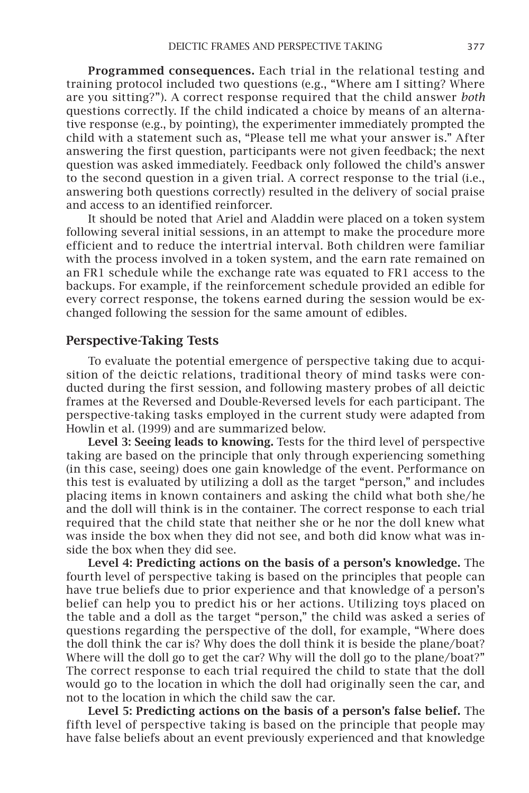Programmed consequences. Each trial in the relational testing and training protocol included two questions (e.g., "Where am I sitting? Where are you sitting?"). A correct response required that the child answer *both* questions correctly. If the child indicated a choice by means of an alternative response (e.g., by pointing), the experimenter immediately prompted the child with a statement such as, "Please tell me what your answer is." After answering the first question, participants were not given feedback; the next question was asked immediately. Feedback only followed the child's answer to the second question in a given trial. A correct response to the trial (i.e., answering both questions correctly) resulted in the delivery of social praise and access to an identified reinforcer.

It should be noted that Ariel and Aladdin were placed on a token system following several initial sessions, in an attempt to make the procedure more efficient and to reduce the intertrial interval. Both children were familiar with the process involved in a token system, and the earn rate remained on an FR1 schedule while the exchange rate was equated to FR1 access to the backups. For example, if the reinforcement schedule provided an edible for every correct response, the tokens earned during the session would be exchanged following the session for the same amount of edibles.

#### Perspective-Taking Tests

To evaluate the potential emergence of perspective taking due to acquisition of the deictic relations, traditional theory of mind tasks were conducted during the first session, and following mastery probes of all deictic frames at the Reversed and Double-Reversed levels for each participant. The perspective-taking tasks employed in the current study were adapted from Howlin et al. (1999) and are summarized below.

Level 3: Seeing leads to knowing. Tests for the third level of perspective taking are based on the principle that only through experiencing something (in this case, seeing) does one gain knowledge of the event. Performance on this test is evaluated by utilizing a doll as the target "person," and includes placing items in known containers and asking the child what both she/he and the doll will think is in the container. The correct response to each trial required that the child state that neither she or he nor the doll knew what was inside the box when they did not see, and both did know what was inside the box when they did see.

Level 4: Predicting actions on the basis of a person's knowledge. The fourth level of perspective taking is based on the principles that people can have true beliefs due to prior experience and that knowledge of a person's belief can help you to predict his or her actions. Utilizing toys placed on the table and a doll as the target "person," the child was asked a series of questions regarding the perspective of the doll, for example, "Where does the doll think the car is? Why does the doll think it is beside the plane/boat? Where will the doll go to get the car? Why will the doll go to the plane/boat?" The correct response to each trial required the child to state that the doll would go to the location in which the doll had originally seen the car, and not to the location in which the child saw the car.

Level 5: Predicting actions on the basis of a person's false belief. The fifth level of perspective taking is based on the principle that people may have false beliefs about an event previously experienced and that knowledge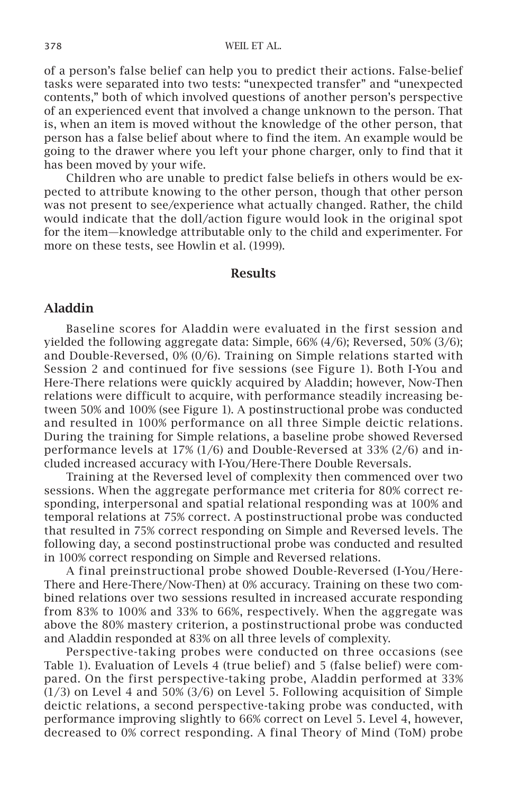of a person's false belief can help you to predict their actions. False-belief tasks were separated into two tests: "unexpected transfer" and "unexpected contents," both of which involved questions of another person's perspective of an experienced event that involved a change unknown to the person. That is, when an item is moved without the knowledge of the other person, that person has a false belief about where to find the item. An example would be going to the drawer where you left your phone charger, only to find that it has been moved by your wife.

Children who are unable to predict false beliefs in others would be expected to attribute knowing to the other person, though that other person was not present to see/experience what actually changed. Rather, the child would indicate that the doll/action figure would look in the original spot for the item—knowledge attributable only to the child and experimenter. For more on these tests, see Howlin et al. (1999).

#### **Results**

#### Aladdin

Baseline scores for Aladdin were evaluated in the first session and yielded the following aggregate data: Simple, 66% (4/6); Reversed, 50% (3/6); and Double-Reversed, 0% (0/6). Training on Simple relations started with Session 2 and continued for five sessions (see Figure 1). Both I-You and Here-There relations were quickly acquired by Aladdin; however, Now-Then relations were difficult to acquire, with performance steadily increasing between 50% and 100% (see Figure 1). A postinstructional probe was conducted and resulted in 100% performance on all three Simple deictic relations. During the training for Simple relations, a baseline probe showed Reversed performance levels at 17% (1/6) and Double-Reversed at 33% (2/6) and included increased accuracy with I-You/Here-There Double Reversals.

Training at the Reversed level of complexity then commenced over two sessions. When the aggregate performance met criteria for 80% correct responding, interpersonal and spatial relational responding was at 100% and temporal relations at 75% correct. A postinstructional probe was conducted that resulted in 75% correct responding on Simple and Reversed levels. The following day, a second postinstructional probe was conducted and resulted in 100% correct responding on Simple and Reversed relations.

A final preinstructional probe showed Double-Reversed (I-You/Here-There and Here-There/Now-Then) at 0% accuracy. Training on these two combined relations over two sessions resulted in increased accurate responding from 83% to 100% and 33% to 66%, respectively. When the aggregate was above the 80% mastery criterion, a postinstructional probe was conducted and Aladdin responded at 83% on all three levels of complexity.

Perspective-taking probes were conducted on three occasions (see Table 1). Evaluation of Levels 4 (true belief) and 5 (false belief) were compared. On the first perspective-taking probe, Aladdin performed at 33% (1/3) on Level 4 and 50% (3/6) on Level 5. Following acquisition of Simple deictic relations, a second perspective-taking probe was conducted, with performance improving slightly to 66% correct on Level 5. Level 4, however, decreased to 0% correct responding. A final Theory of Mind (ToM) probe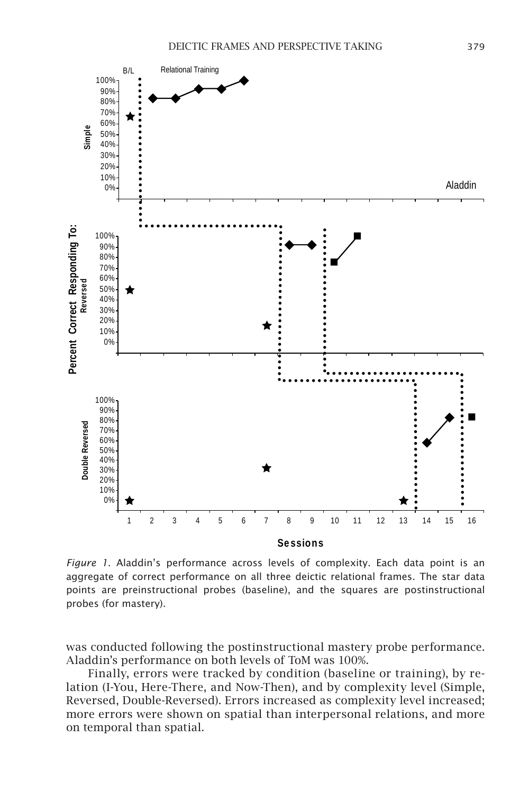

*Figure 1*. Aladdin's performance across levels of complexity. Each data point is an aggregate of correct performance on all three deictic relational frames. The star data points are preinstructional probes (baseline), and the squares are postinstructional probes (for mastery).

was conducted following the postinstructional mastery probe performance. Aladdin's performance on both levels of ToM was 100%.

Finally, errors were tracked by condition (baseline or training), by relation (I-You, Here-There, and Now-Then), and by complexity level (Simple, Reversed, Double-Reversed). Errors increased as complexity level increased; more errors were shown on spatial than interpersonal relations, and more on temporal than spatial.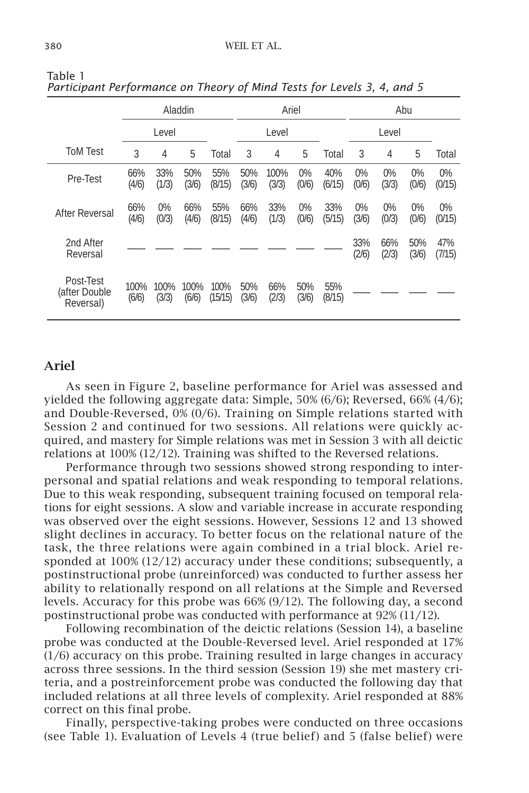|                                         | Aladdin       |                |               |                 | Ariel        |               |                |               | Abu            |                |              |               |
|-----------------------------------------|---------------|----------------|---------------|-----------------|--------------|---------------|----------------|---------------|----------------|----------------|--------------|---------------|
|                                         |               | Level          |               |                 |              | Level         |                |               |                | Level          |              |               |
| <b>ToM Test</b>                         | 3             | 4              | 5             | Total           | 3            | 4             | 5              | Total         | 3              | 4              | 5            | Total         |
| Pre-Test                                | 66%<br>(4/6)  | 33%<br>(1/3)   | 50%<br>(3/6)  | 55%<br>(8/15)   | 50%<br>(3/6) | 100%<br>(3/3) | $0\%$<br>(0/6) | 40%<br>(6/15) | $0\%$<br>(0/6) | $0\%$<br>(3/3) | 0%<br>(0/6)  | 0%<br>(0/15)  |
| After Reversal                          | 66%<br>(4/6)  | $0\%$<br>(0/3) | 66%<br>(4/6)  | 55%<br>(8/15)   | 66%<br>(4/6) | 33%<br>(1/3)  | $0\%$<br>(0/6) | 33%<br>(5/15) | $0\%$<br>(3/6) | $0\%$<br>(0/3) | 0%<br>(0/6)  | 0%<br>(0/15)  |
| 2nd After<br>Reversal                   |               |                |               |                 |              |               |                |               | 33%<br>(2/6)   | 66%<br>(2/3)   | 50%<br>(3/6) | 47%<br>(7/15) |
| Post-Test<br>(after Double<br>Reversal) | 100%<br>(6/6) | 100%<br>(3/3)  | 100%<br>(6/6) | 100%<br>(15/15) | 50%<br>(3/6) | 66%<br>(2/3)  | 50%<br>(3/6)   | 55%<br>(8/15) |                |                |              |               |

Table 1 *Participant Performance on Theory of Mind Tests for Levels 3, 4, and 5* 

# Ariel

As seen in Figure 2, baseline performance for Ariel was assessed and yielded the following aggregate data: Simple, 50% (6/6); Reversed, 66% (4/6); and Double-Reversed, 0% (0/6). Training on Simple relations started with Session 2 and continued for two sessions. All relations were quickly acquired, and mastery for Simple relations was met in Session 3 with all deictic relations at 100% (12/12). Training was shifted to the Reversed relations.

Performance through two sessions showed strong responding to interpersonal and spatial relations and weak responding to temporal relations. Due to this weak responding, subsequent training focused on temporal relations for eight sessions. A slow and variable increase in accurate responding was observed over the eight sessions. However, Sessions 12 and 13 showed slight declines in accuracy. To better focus on the relational nature of the task, the three relations were again combined in a trial block. Ariel responded at 100% (12/12) accuracy under these conditions; subsequently, a postinstructional probe (unreinforced) was conducted to further assess her ability to relationally respond on all relations at the Simple and Reversed levels. Accuracy for this probe was 66% (9/12). The following day, a second postinstructional probe was conducted with performance at 92% (11/12).

Following recombination of the deictic relations (Session 14), a baseline probe was conducted at the Double-Reversed level. Ariel responded at 17% (1/6) accuracy on this probe. Training resulted in large changes in accuracy across three sessions. In the third session (Session 19) she met mastery criteria, and a postreinforcement probe was conducted the following day that included relations at all three levels of complexity. Ariel responded at 88% correct on this final probe.

Finally, perspective-taking probes were conducted on three occasions (see Table 1). Evaluation of Levels 4 (true belief) and 5 (false belief) were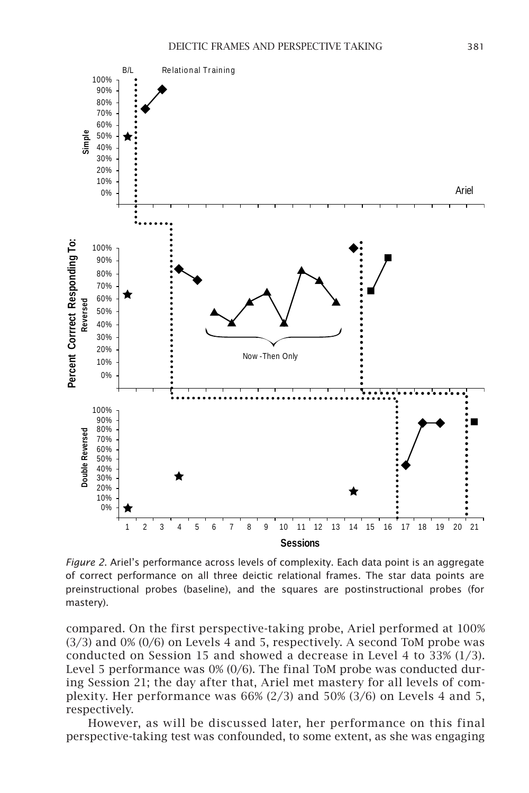

*Figure 2*. Ariel's performance across levels of complexity. Each data point is an aggregate of correct performance on all three deictic relational frames. The star data points are preinstructional probes (baseline), and the squares are postinstructional probes (for mastery).

compared. On the first perspective-taking probe, Ariel performed at 100% (3/3) and 0% (0/6) on Levels 4 and 5, respectively. A second ToM probe was conducted on Session 15 and showed a decrease in Level 4 to 33% (1/3). Level 5 performance was  $0\%$  (0/6). The final ToM probe was conducted during Session 21; the day after that, Ariel met mastery for all levels of complexity. Her performance was 66% (2/3) and 50% (3/6) on Levels 4 and 5, respectively.

However, as will be discussed later, her performance on this final perspective-taking test was confounded, to some extent, as she was engaging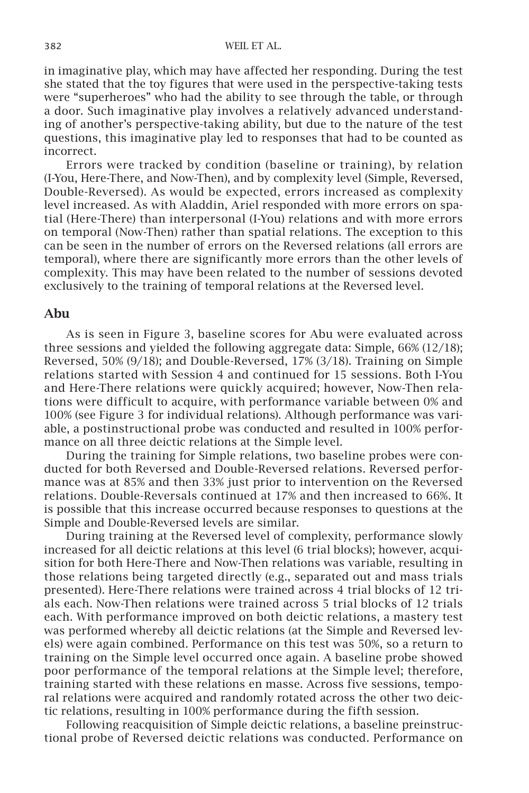in imaginative play, which may have affected her responding. During the test she stated that the toy figures that were used in the perspective-taking tests were "superheroes" who had the ability to see through the table, or through a door. Such imaginative play involves a relatively advanced understanding of another's perspective-taking ability, but due to the nature of the test questions, this imaginative play led to responses that had to be counted as incorrect.

Errors were tracked by condition (baseline or training), by relation (I-You, Here-There, and Now-Then), and by complexity level (Simple, Reversed, Double-Reversed). As would be expected, errors increased as complexity level increased. As with Aladdin, Ariel responded with more errors on spatial (Here-There) than interpersonal (I-You) relations and with more errors on temporal (Now-Then) rather than spatial relations. The exception to this can be seen in the number of errors on the Reversed relations (all errors are temporal), where there are significantly more errors than the other levels of complexity. This may have been related to the number of sessions devoted exclusively to the training of temporal relations at the Reversed level.

## Abu

As is seen in Figure 3, baseline scores for Abu were evaluated across three sessions and yielded the following aggregate data: Simple, 66% (12/18); Reversed, 50% (9/18); and Double-Reversed, 17% (3/18). Training on Simple relations started with Session 4 and continued for 15 sessions. Both I-You and Here-There relations were quickly acquired; however, Now-Then relations were difficult to acquire, with performance variable between 0% and 100% (see Figure 3 for individual relations). Although performance was variable, a postinstructional probe was conducted and resulted in 100% performance on all three deictic relations at the Simple level.

During the training for Simple relations, two baseline probes were conducted for both Reversed and Double-Reversed relations. Reversed performance was at 85% and then 33% just prior to intervention on the Reversed relations. Double-Reversals continued at 17% and then increased to 66%. It is possible that this increase occurred because responses to questions at the Simple and Double-Reversed levels are similar.

During training at the Reversed level of complexity, performance slowly increased for all deictic relations at this level (6 trial blocks); however, acquisition for both Here-There and Now-Then relations was variable, resulting in those relations being targeted directly (e.g., separated out and mass trials presented). Here-There relations were trained across 4 trial blocks of 12 trials each. Now-Then relations were trained across 5 trial blocks of 12 trials each. With performance improved on both deictic relations, a mastery test was performed whereby all deictic relations (at the Simple and Reversed levels) were again combined. Performance on this test was 50%, so a return to training on the Simple level occurred once again. A baseline probe showed poor performance of the temporal relations at the Simple level; therefore, training started with these relations en masse. Across five sessions, temporal relations were acquired and randomly rotated across the other two deictic relations, resulting in 100% performance during the fifth session.

Following reacquisition of Simple deictic relations, a baseline preinstructional probe of Reversed deictic relations was conducted. Performance on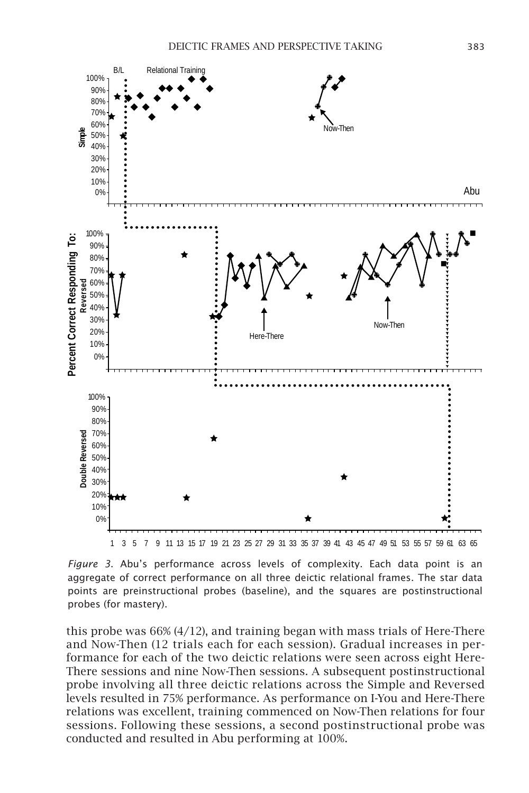

*Figure 3*. Abu's performance across levels of complexity. Each data point is an aggregate of correct performance on all three deictic relational frames. The star data points are preinstructional probes (baseline), and the squares are postinstructional probes (for mastery).

this probe was 66% (4/12), and training began with mass trials of Here-There and Now-Then (12 trials each for each session). Gradual increases in performance for each of the two deictic relations were seen across eight Here-There sessions and nine Now-Then sessions. A subsequent postinstructional probe involving all three deictic relations across the Simple and Reversed levels resulted in 75% performance. As performance on I-You and Here-There relations was excellent, training commenced on Now-Then relations for four sessions. Following these sessions, a second postinstructional probe was conducted and resulted in Abu performing at 100%.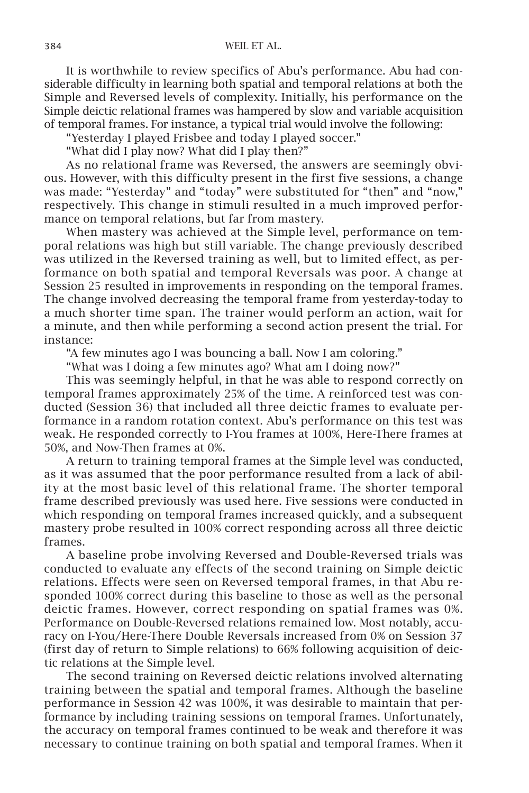It is worthwhile to review specifics of Abu's performance. Abu had considerable difficulty in learning both spatial and temporal relations at both the Simple and Reversed levels of complexity. Initially, his performance on the Simple deictic relational frames was hampered by slow and variable acquisition of temporal frames. For instance, a typical trial would involve the following:

"Yesterday I played Frisbee and today I played soccer."

"What did I play now? What did I play then?"

As no relational frame was Reversed, the answers are seemingly obvious. However, with this difficulty present in the first five sessions, a change was made: "Yesterday" and "today" were substituted for "then" and "now," respectively. This change in stimuli resulted in a much improved performance on temporal relations, but far from mastery.

When mastery was achieved at the Simple level, performance on temporal relations was high but still variable. The change previously described was utilized in the Reversed training as well, but to limited effect, as performance on both spatial and temporal Reversals was poor. A change at Session 25 resulted in improvements in responding on the temporal frames. The change involved decreasing the temporal frame from yesterday-today to a much shorter time span. The trainer would perform an action, wait for a minute, and then while performing a second action present the trial. For instance:

"A few minutes ago I was bouncing a ball. Now I am coloring."

"What was I doing a few minutes ago? What am I doing now?"

This was seemingly helpful, in that he was able to respond correctly on temporal frames approximately 25% of the time. A reinforced test was conducted (Session 36) that included all three deictic frames to evaluate performance in a random rotation context. Abu's performance on this test was weak. He responded correctly to I-You frames at 100%, Here-There frames at 50%, and Now-Then frames at 0%.

A return to training temporal frames at the Simple level was conducted, as it was assumed that the poor performance resulted from a lack of ability at the most basic level of this relational frame. The shorter temporal frame described previously was used here. Five sessions were conducted in which responding on temporal frames increased quickly, and a subsequent mastery probe resulted in 100% correct responding across all three deictic frames.

A baseline probe involving Reversed and Double-Reversed trials was conducted to evaluate any effects of the second training on Simple deictic relations. Effects were seen on Reversed temporal frames, in that Abu responded 100% correct during this baseline to those as well as the personal deictic frames. However, correct responding on spatial frames was 0%. Performance on Double-Reversed relations remained low. Most notably, accuracy on I-You/Here-There Double Reversals increased from 0% on Session 37 (first day of return to Simple relations) to 66% following acquisition of deictic relations at the Simple level.

The second training on Reversed deictic relations involved alternating training between the spatial and temporal frames. Although the baseline performance in Session 42 was 100%, it was desirable to maintain that performance by including training sessions on temporal frames. Unfortunately, the accuracy on temporal frames continued to be weak and therefore it was necessary to continue training on both spatial and temporal frames. When it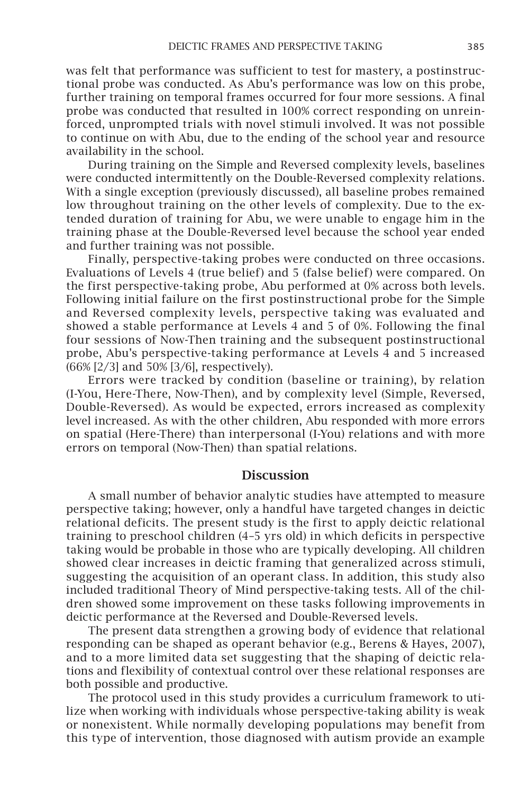was felt that performance was sufficient to test for mastery, a postinstructional probe was conducted. As Abu's performance was low on this probe, further training on temporal frames occurred for four more sessions. A final probe was conducted that resulted in 100% correct responding on unreinforced, unprompted trials with novel stimuli involved. It was not possible to continue on with Abu, due to the ending of the school year and resource availability in the school.

During training on the Simple and Reversed complexity levels, baselines were conducted intermittently on the Double-Reversed complexity relations. With a single exception (previously discussed), all baseline probes remained low throughout training on the other levels of complexity. Due to the extended duration of training for Abu, we were unable to engage him in the training phase at the Double-Reversed level because the school year ended and further training was not possible.

Finally, perspective-taking probes were conducted on three occasions. Evaluations of Levels 4 (true belief) and 5 (false belief) were compared. On the first perspective-taking probe, Abu performed at 0% across both levels. Following initial failure on the first postinstructional probe for the Simple and Reversed complexity levels, perspective taking was evaluated and showed a stable performance at Levels 4 and 5 of 0%. Following the final four sessions of Now-Then training and the subsequent postinstructional probe, Abu's perspective-taking performance at Levels 4 and 5 increased (66% [2/3] and 50% [3/6], respectively).

Errors were tracked by condition (baseline or training), by relation (I-You, Here-There, Now-Then), and by complexity level (Simple, Reversed, Double-Reversed). As would be expected, errors increased as complexity level increased. As with the other children, Abu responded with more errors on spatial (Here-There) than interpersonal (I-You) relations and with more errors on temporal (Now-Then) than spatial relations.

# **Discussion**

A small number of behavior analytic studies have attempted to measure perspective taking; however, only a handful have targeted changes in deictic relational deficits. The present study is the first to apply deictic relational training to preschool children (4–5 yrs old) in which deficits in perspective taking would be probable in those who are typically developing. All children showed clear increases in deictic framing that generalized across stimuli, suggesting the acquisition of an operant class. In addition, this study also included traditional Theory of Mind perspective-taking tests. All of the children showed some improvement on these tasks following improvements in deictic performance at the Reversed and Double-Reversed levels.

The present data strengthen a growing body of evidence that relational responding can be shaped as operant behavior (e.g., Berens & Hayes, 2007), and to a more limited data set suggesting that the shaping of deictic relations and flexibility of contextual control over these relational responses are both possible and productive.

The protocol used in this study provides a curriculum framework to utilize when working with individuals whose perspective-taking ability is weak or nonexistent. While normally developing populations may benefit from this type of intervention, those diagnosed with autism provide an example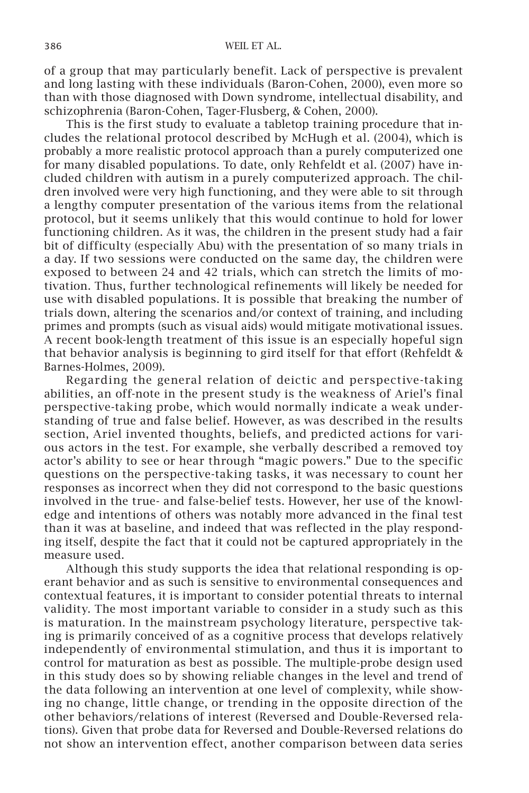of a group that may particularly benefit. Lack of perspective is prevalent and long lasting with these individuals (Baron-Cohen, 2000), even more so than with those diagnosed with Down syndrome, intellectual disability, and schizophrenia (Baron-Cohen, Tager-Flusberg, & Cohen, 2000).

This is the first study to evaluate a tabletop training procedure that includes the relational protocol described by McHugh et al. (2004), which is probably a more realistic protocol approach than a purely computerized one for many disabled populations. To date, only Rehfeldt et al. (2007) have included children with autism in a purely computerized approach. The children involved were very high functioning, and they were able to sit through a lengthy computer presentation of the various items from the relational protocol, but it seems unlikely that this would continue to hold for lower functioning children. As it was, the children in the present study had a fair bit of difficulty (especially Abu) with the presentation of so many trials in a day. If two sessions were conducted on the same day, the children were exposed to between 24 and 42 trials, which can stretch the limits of motivation. Thus, further technological refinements will likely be needed for use with disabled populations. It is possible that breaking the number of trials down, altering the scenarios and/or context of training, and including primes and prompts (such as visual aids) would mitigate motivational issues. A recent book-length treatment of this issue is an especially hopeful sign that behavior analysis is beginning to gird itself for that effort (Rehfeldt & Barnes-Holmes, 2009).

Regarding the general relation of deictic and perspective-taking abilities, an off-note in the present study is the weakness of Ariel's final perspective-taking probe, which would normally indicate a weak understanding of true and false belief. However, as was described in the results section, Ariel invented thoughts, beliefs, and predicted actions for various actors in the test. For example, she verbally described a removed toy actor's ability to see or hear through "magic powers." Due to the specific questions on the perspective-taking tasks, it was necessary to count her responses as incorrect when they did not correspond to the basic questions involved in the true- and false-belief tests. However, her use of the knowledge and intentions of others was notably more advanced in the final test than it was at baseline, and indeed that was reflected in the play responding itself, despite the fact that it could not be captured appropriately in the measure used.

Although this study supports the idea that relational responding is operant behavior and as such is sensitive to environmental consequences and contextual features, it is important to consider potential threats to internal validity. The most important variable to consider in a study such as this is maturation. In the mainstream psychology literature, perspective taking is primarily conceived of as a cognitive process that develops relatively independently of environmental stimulation, and thus it is important to control for maturation as best as possible. The multiple-probe design used in this study does so by showing reliable changes in the level and trend of the data following an intervention at one level of complexity, while showing no change, little change, or trending in the opposite direction of the other behaviors/relations of interest (Reversed and Double-Reversed relations). Given that probe data for Reversed and Double-Reversed relations do not show an intervention effect, another comparison between data series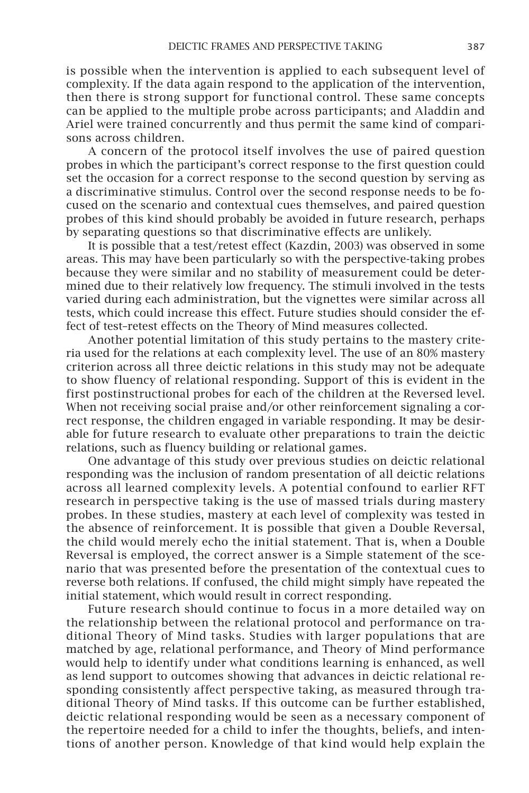is possible when the intervention is applied to each subsequent level of complexity. If the data again respond to the application of the intervention, then there is strong support for functional control. These same concepts can be applied to the multiple probe across participants; and Aladdin and Ariel were trained concurrently and thus permit the same kind of comparisons across children.

A concern of the protocol itself involves the use of paired question probes in which the participant's correct response to the first question could set the occasion for a correct response to the second question by serving as a discriminative stimulus. Control over the second response needs to be focused on the scenario and contextual cues themselves, and paired question probes of this kind should probably be avoided in future research, perhaps by separating questions so that discriminative effects are unlikely.

It is possible that a test/retest effect (Kazdin, 2003) was observed in some areas. This may have been particularly so with the perspective-taking probes because they were similar and no stability of measurement could be determined due to their relatively low frequency. The stimuli involved in the tests varied during each administration, but the vignettes were similar across all tests, which could increase this effect. Future studies should consider the effect of test–retest effects on the Theory of Mind measures collected.

Another potential limitation of this study pertains to the mastery criteria used for the relations at each complexity level. The use of an 80% mastery criterion across all three deictic relations in this study may not be adequate to show fluency of relational responding. Support of this is evident in the first postinstructional probes for each of the children at the Reversed level. When not receiving social praise and/or other reinforcement signaling a correct response, the children engaged in variable responding. It may be desirable for future research to evaluate other preparations to train the deictic relations, such as fluency building or relational games.

One advantage of this study over previous studies on deictic relational responding was the inclusion of random presentation of all deictic relations across all learned complexity levels. A potential confound to earlier RFT research in perspective taking is the use of massed trials during mastery probes. In these studies, mastery at each level of complexity was tested in the absence of reinforcement. It is possible that given a Double Reversal, the child would merely echo the initial statement. That is, when a Double Reversal is employed, the correct answer is a Simple statement of the scenario that was presented before the presentation of the contextual cues to reverse both relations. If confused, the child might simply have repeated the initial statement, which would result in correct responding.

Future research should continue to focus in a more detailed way on the relationship between the relational protocol and performance on traditional Theory of Mind tasks. Studies with larger populations that are matched by age, relational performance, and Theory of Mind performance would help to identify under what conditions learning is enhanced, as well as lend support to outcomes showing that advances in deictic relational responding consistently affect perspective taking, as measured through traditional Theory of Mind tasks. If this outcome can be further established, deictic relational responding would be seen as a necessary component of the repertoire needed for a child to infer the thoughts, beliefs, and intentions of another person. Knowledge of that kind would help explain the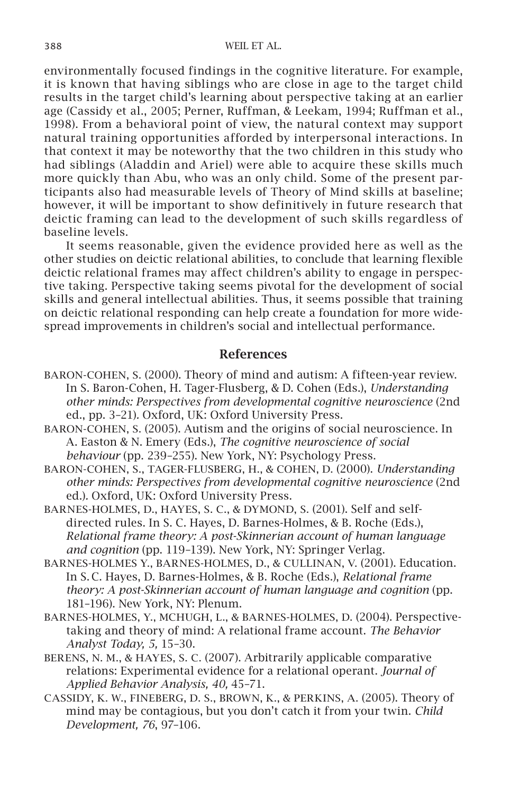environmentally focused findings in the cognitive literature. For example, it is known that having siblings who are close in age to the target child results in the target child's learning about perspective taking at an earlier age (Cassidy et al., 2005; Perner, Ruffman, & Leekam, 1994; Ruffman et al., 1998). From a behavioral point of view, the natural context may support natural training opportunities afforded by interpersonal interactions. In that context it may be noteworthy that the two children in this study who had siblings (Aladdin and Ariel) were able to acquire these skills much more quickly than Abu, who was an only child. Some of the present participants also had measurable levels of Theory of Mind skills at baseline; however, it will be important to show definitively in future research that deictic framing can lead to the development of such skills regardless of baseline levels.

It seems reasonable, given the evidence provided here as well as the other studies on deictic relational abilities, to conclude that learning flexible deictic relational frames may affect children's ability to engage in perspective taking. Perspective taking seems pivotal for the development of social skills and general intellectual abilities. Thus, it seems possible that training on deictic relational responding can help create a foundation for more widespread improvements in children's social and intellectual performance.

# References

- Baron-Cohen, S. (2000). Theory of mind and autism: A fifteen-year review. In S. Baron-Cohen, H. Tager-Flusberg, & D. Cohen (Eds.), *Understanding other minds: Perspectives from developmental cognitive neuroscience* (2nd ed., pp. 3–21)*.* Oxford, UK: Oxford University Press.
- Baron-Cohen, S. (2005). Autism and the origins of social neuroscience. In A. Easton & N. Emery (Eds.), *The cognitive neuroscience of social behaviour* (pp. 239–255). New York, NY: Psychology Press.
- Baron-Cohen, S., Tager-Flusberg, H., & Cohen, D. (2000). *Understanding other minds: Perspectives from developmental cognitive neuroscience* (2nd ed.)*.* Oxford, UK: Oxford University Press.
- BARNES-HOLMES, D., HAYES, S. C., & DYMOND, S. (2001). Self and selfdirected rules. In S. C. Hayes, D. Barnes-Holmes, & B. Roche (Eds.), *Relational frame theory: A post-Skinnerian account of human language and cognition* (pp. 119–139). New York, NY: Springer Verlag.
- Barnes-Holmes Y., Barnes-Holmes, D., & Cullinan, V. (2001). Education. In S. C. Hayes, D. Barnes-Holmes, & B. Roche (Eds.), *Relational frame theory: A post-Skinnerian account of human language and cognition* (pp. 181–196). New York, NY: Plenum.
- Barnes-Holmes, Y., McHugh, L., & Barnes-Holmes, D. (2004). Perspectivetaking and theory of mind: A relational frame account. *The Behavior Analyst Today, 5,* 15–30.
- Berens, N. M., & Hayes, S. C. (2007). Arbitrarily applicable comparative relations: Experimental evidence for a relational operant. *Journal of Applied Behavior Analysis, 40,* 45–71.
- Cassidy, K. W., Fineberg, D. S., Brown, K., & Perkins, A. (2005). Theory of mind may be contagious, but you don't catch it from your twin. *Child Development, 76*, 97–106.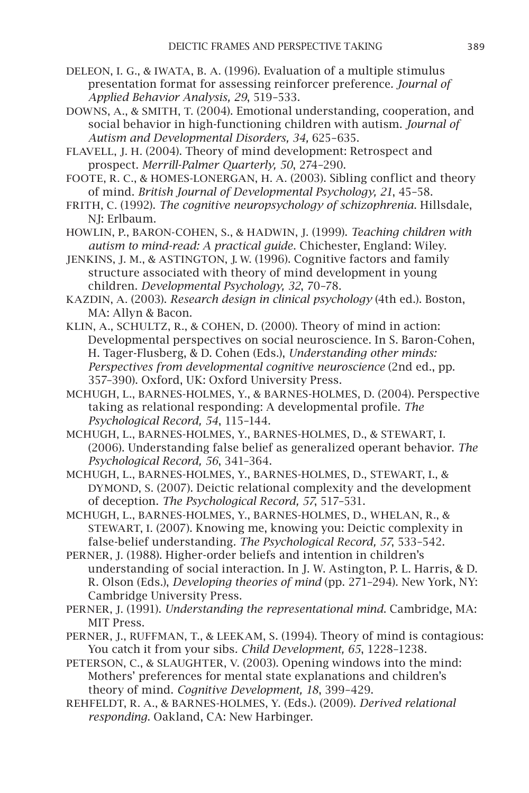- DeLeon, I. G., & Iwata, B. A. (1996). Evaluation of a multiple stimulus presentation format for assessing reinforcer preference*. Journal of Applied Behavior Analysis, 29*, 519–533.
- Downs, A., & Smith, T. (2004). Emotional understanding, cooperation, and social behavior in high-functioning children with autism. *Journal of Autism and Developmental Disorders, 34,* 625–635.
- Flavell, J. H. (2004). Theory of mind development: Retrospect and prospect. *Merrill-Palmer Quarterly, 50*, 274–290.
- Foote, R. C., & Homes-Lonergan, H. A. (2003). Sibling conflict and theory of mind. *British Journal of Developmental Psychology, 21*, 45–58.
- Frith, C. (1992). *The cognitive neuropsychology of schizophrenia*. Hillsdale, NJ: Erlbaum.
- Howlin, P., Baron-Cohen, S., & Hadwin, J. (1999). *Teaching children with autism to mind-read: A practical guide*. Chichester, England: Wiley.
- Jenkins, J. M., & Astington, J. W. (1996). Cognitive factors and family structure associated with theory of mind development in young children. *Developmental Psychology, 32*, 70–78.
- Kazdin, A. (2003). *Research design in clinical psychology* (4th ed.). Boston, MA: Allyn & Bacon.
- Klin, A., Schultz, R., & Cohen, D. (2000). Theory of mind in action: Developmental perspectives on social neuroscience. In S. Baron-Cohen, H. Tager-Flusberg, & D. Cohen (Eds.), *Understanding other minds: Perspectives from developmental cognitive neuroscience* (2nd ed., pp. 357–390). Oxford, UK: Oxford University Press.
- McHugh, L., Barnes-Holmes, Y., & Barnes-Holmes, D. (2004). Perspective taking as relational responding: A developmental profile. *The Psychological Record, 54*, 115–144.
- McHugh, L., Barnes-Holmes, Y., Barnes-Holmes, D., & Stewart, I. (2006). Understanding false belief as generalized operant behavior. *The Psychological Record, 56*, 341–364.
- McHugh, L., Barnes-Holmes, Y., Barnes-Holmes, D., Stewart, I., & DYMOND, S. (2007). Deictic relational complexity and the development of deception. *The Psychological Record, 57*, 517–531.
- McHugh, L., Barnes-Holmes, Y., Barnes-Holmes, D., Whelan, R., & STEWART, I. (2007). Knowing me, knowing you: Deictic complexity in false-belief understanding*. The Psychological Record, 57*, 533–542.
- PERNER, J. (1988). Higher-order beliefs and intention in children's understanding of social interaction. In J. W. Astington, P. L. Harris, & D. R. Olson (Eds.), *Developing theories of mind* (pp. 271–294). New York, NY: Cambridge University Press.
- Perner, J. (1991). *Understanding the representational mind*. Cambridge, MA: MIT Press.
- Perner, J., Ruffman, T., & Leekam, S. (1994). Theory of mind is contagious: You catch it from your sibs*. Child Development, 65*, 1228–1238.
- PETERSON, C., & SLAUGHTER, V. (2003). Opening windows into the mind: Mothers' preferences for mental state explanations and children's theory of mind. *Cognitive Development, 18*, 399–429.
- Rehfeldt, R. A., & Barnes-Holmes, Y. (Eds.). (2009). *Derived relational responding*. Oakland, CA: New Harbinger.